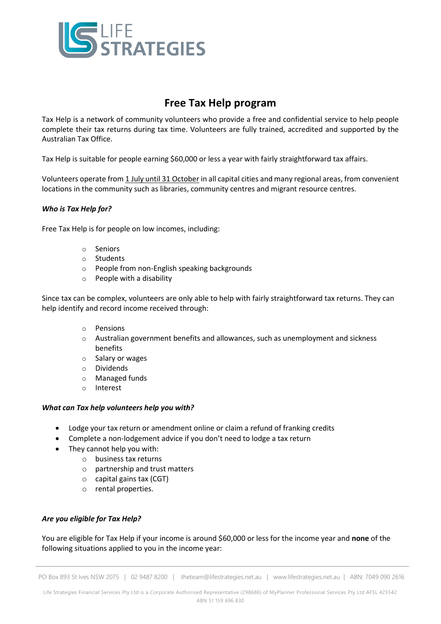

# **Free Tax Help program**

Tax Help is a network of community volunteers who provide a free and confidential service to help people complete their tax returns during tax time. Volunteers are fully trained, accredited and supported by the Australian Tax Office.

Tax Help is suitable for people earning \$60,000 or less a year with fairly straightforward tax affairs.

Volunteers operate from 1 July until 31 October in all capital cities and many regional areas, from convenient locations in the community such as libraries, community centres and migrant resource centres.

#### *Who is Tax Help for?*

Free Tax Help is for people on low incomes, including:

- o Seniors
- o Students
- o People from non-English speaking backgrounds
- o People with a disability

Since tax can be complex, volunteers are only able to help with fairly straightforward tax returns. They can help identify and record income received through:

- o Pensions
- $\circ$  Australian government benefits and allowances, such as unemployment and sickness benefits
- o Salary or wages
- o Dividends
- o Managed funds
- o Interest

#### *What can Tax help volunteers help you with?*

- Lodge your tax return or amendment online or claim a refund of franking credits
- Complete a non-lodgement advice if you don't need to lodge a tax return
- They cannot help you with:
	- o business tax returns
	- o partnership and trust matters
	- o capital gains tax (CGT)
	- o rental properties.

## *Are you eligible for Tax Help?*

You are eligible for Tax Help if your income is around \$60,000 or less for the income year and **none** of the following situations applied to you in the income year:

PO Box 893 St Ives NSW 2075 | 02 9487 8200 | theteam@lifestrategies.net.au | www.lifestrategies.net.au | ABN: 7049 090 2616